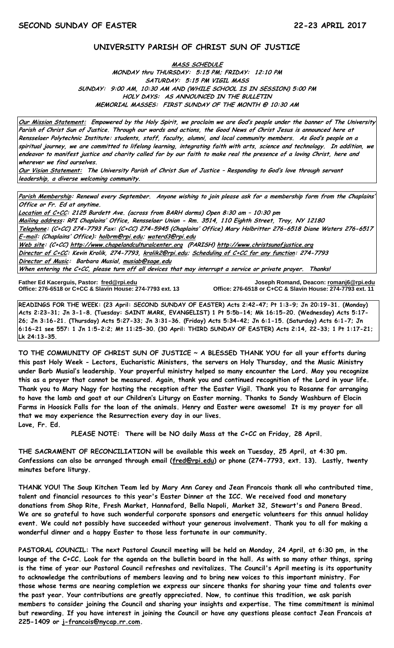## **UNIVERSITY PARISH OF CHRIST SUN OF JUSTICE**

**MASS SCHEDULE MONDAY thru THURSDAY: 5:15 PM; FRIDAY: 12:10 PM SATURDAY: 5:15 PM VIGIL MASS SUNDAY: 9:00 AM, 10:30 AM AND (WHILE SCHOOL IS IN SESSION) 5:00 PM HOLY DAYS: AS ANNOUNCED IN THE BULLETIN MEMORIAL MASSES: FIRST SUNDAY OF THE MONTH @ 10:30 AM**

**Our Mission Statement: Empowered by the Holy Spirit, we proclaim we are God's people under the banner of The University Parish of Christ Sun of Justice. Through our words and actions, the Good News of Christ Jesus is announced here at Rensselaer Polytechnic Institute: students, staff, faculty, alumni, and local community members. As God's people on a spiritual journey, we are committed to lifelong learning, integrating faith with arts, science and technology. In addition, we endeavor to manifest justice and charity called for by our faith to make real the presence of a loving Christ, here and wherever we find ourselves.**

**Our Vision Statement: The University Parish of Christ Sun of Justice – Responding to God's love through servant leadership, a diverse welcoming community.**

**Parish Membership: Renewal every September. Anyone wishing to join please ask for a membership form from the Chaplains' Office or Fr. Ed at anytime.**

**Location of C+CC: 2125 Burdett Ave. (across from BARH dorms) Open 8:30 am – 10:30 pm Mailing address: RPI Chaplains' Office, Rensselaer Union - Rm. 3514, 110 Eighth Street, Troy, NY 12180 Telephone: (C+CC) 274-7793 Fax: (C+CC) 274-5945 (Chaplains' Office) Mary Holbritter 276-6518 Diane Waters 276-6517 E-mail: (Chaplains' Office): [holbrm@rpi.edu;](mailto:holbrm@rpi.edu) waterd3@rpi.edu Web site: (C+CC[\) http://www.chapelandculturalcenter.org](http://www.chapelandculturalcenter.org/) (PARISH) http://www.christsunofjustice.org Director of C+CC: Kevin Krolik, 274-7793, krolik2@rpi.edu; Scheduling of C+CC for any function: 274-7793 Director of Music: Barbara Musial, [musiab@sage.edu](mailto:musiab@sage.edu) When entering the C+CC, please turn off all devices that may interrupt a service or private prayer. Thanks!** 

**Father Ed Kacerguis, Pastor: [fred@rpi.edu](mailto:fred@rpi.edu) Joseph Romand, Deacon[: romanj6@rpi.edu](mailto:romanj6@rpi.edu)**

**Office: 276-6518 or C+CC & Slavin House: 274-7793 ext. 11** 

**READINGS FOR THE WEEK: (23 April: SECOND SUNDAY OF EASTER) Acts 2:42-47; Pt 1:3-9; Jn 20:19-31. (Monday) Acts 2:23-31; Jn 3-1-8. (Tuesday: SAINT MARK, EVANGELIST) 1 Pt 5:5b-14; Mk 16:15-20. (Wednesday) Acts 5:17- 26; Jn 3:16-21. (Thursday) Acts 5:27-33; Jn 3:31-36. (Friday) Acts 5:34-42; Jn 6:1-15. (Saturday) Acts 6:1-7; Jn 6:16-21 see 557: 1 Jn 1:5-2:2; Mt 11:25-30. (30 April: THIRD SUNDAY OF EASTER) Acts 2:14, 22-33; 1 Pt 1:17-21; Lk 24:13-35.** 

**TO THE COMMUNITY OF CHRIST SUN OF JUSTICE ~ A BLESSED THANK YOU for all your efforts during this past Holy Week - Lectors, Eucharistic Ministers, the servers on Holy Thursday, and the Music Ministry under Barb Musial's leadership. Your prayerful ministry helped so many encounter the Lord. May you recognize this as a prayer that cannot be measured. Again, thank you and continued recognition of the Lord in your life. Thank you to Mary Nagy for hosting the reception after the Easter Vigil. Thank you to Rosanne for arranging to have the lamb and goat at our Children's Liturgy on Easter morning. Thanks to Sandy Washburn of Elocin Farms in Hoosick Falls for the loan of the animals. Henry and Easter were awesome! It is my prayer for all that we may experience the Resurrection every day in our lives. Love, Fr. Ed.**

**PLEASE NOTE: There will be NO daily Mass at the C+CC on Friday, 28 April.**

**THE SACRAMENT OF RECONCILIATION will be available this week on Tuesday, 25 April, at 4:30 pm. Confessions can also be arranged through email [\(fred@rpi.edu\)](mailto:fred@rpi.edu) or phone (274-7793, ext. 13). Lastly, twenty minutes before liturgy.**

**THANK YOU! The Soup Kitchen Team led by Mary Ann Carey and Jean Francois thank all who contributed time, talent and financial resources to this year's Easter Dinner at the ICC. We received food and monetary donations from Shop Rite, Fresh Market, Hannaford, Bella Napoli, Market 32, Stewart's and Panera Bread. We are so grateful to have such wonderful corporate sponsors and energetic volunteers for this annual holiday event. We could not possibly have succeeded without your generous involvement. Thank you to all for making a wonderful dinner and a happy Easter to those less fortunate in our community.**

**PASTORAL COUNCIL: The next Pastoral Council meeting will be held on Monday, 24 April, at 6:30 pm, in the lounge of the C+CC. Look for the agenda on the bulletin board in the hall. As with so many other things, spring is the time of year our Pastoral Council refreshes and revitalizes. The Council's April meeting is its opportunity to acknowledge the contributions of members leaving and to bring new voices to this important ministry. For those whose terms are nearing completion we express our sincere thanks for sharing your time and talents over the past year. Your contributions are greatly appreciated. Now, to continue this tradition, we ask parish members to consider joining the Council and sharing your insights and expertise. The time commitment is minimal but rewarding. If you have interest in joining the Council or have any questions please contact Jean Francois at 225-1409 or [j-francois@nycap.rr.com.](mailto:j-francois@nycap.rr.com)**